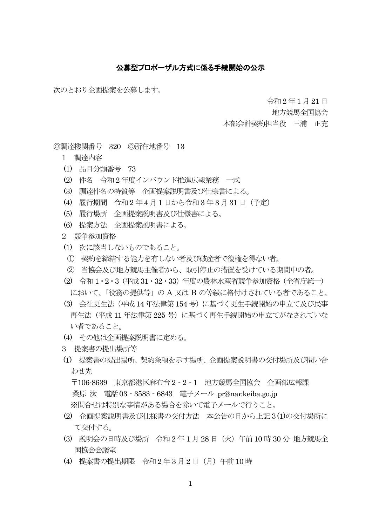## 公募型プロポーザル方式に係る手続開始の公示

次のとおり企画提案を公募します。

令和 2 年1 月21 日

地方競馬全国協会

本部会計契約担当役 三浦 正充

◎調達機関番号 320 ◎所在地番号 13

- 1 調達内容
- (1) 品目分類番号 73
- (2) 件名 令和2 年度インバウンド推進広報業務 一式
- (3) 調達件名の特質等 企画提案説明書及び仕様書による。
- (4) 履行期間 令和2 年4 月 1 日から令和 3 年 3 月31 日(予定)
- (5) 履行場所 企画提案説明書及び仕様書による。
- (6) 提案方法 企画提案説明書による。
- 2 競争参加資格
- (1) 次に該当しないものであること。
- ① 契約を締結する能力を有しない者及び破産者で復権を得ない者。
- ② 当協会及び地方競馬主催者から、取引停止の措置を受けている期間中の者。
- (2) 令和1・2・3(平成31・32・33)年度の農林水産省競争参加資格(全省庁統一) において、「役務の提供等」の A 又は B の等級に格付けされている者であること。
- (3) 会社更生法(平成14 年法律第154 号)に基づく更生手続開始の申立て及び民事 再生法(平成 11 年法律第 225 号)に基づく再生手続開始の申立てがなされていな い者であること。
- (4) その他は企画提案説明書に定める。
- 3 提案書の提出場所等
- (1) 提案書の提出場所、契約条項を示す場所、企画提案説明書の交付場所及び問い合 わせ先

 〒106-8639 東京都港区麻布台 2‐2‐1 地方競馬全国協会 企画部広報課 桑原 汰 電話03‐3583‐6843 電子メール pr@nar.keiba.go.jp ※問合せは特別な事情がある場合を除いて電子メールで行うこと。

- (2) 企画提案説明書及び仕様書の交付方法 本公告の日から上記3(1)の交付場所に て交付する。
- (3) 説明会の日時及び場所 令和 2 年 1 月 28 日(火)午前 10 時 30 分 地方競馬全 国協会会議室
- (4) 提案書の提出期限 令和 2 年3 月2 日(月)午前 10 時